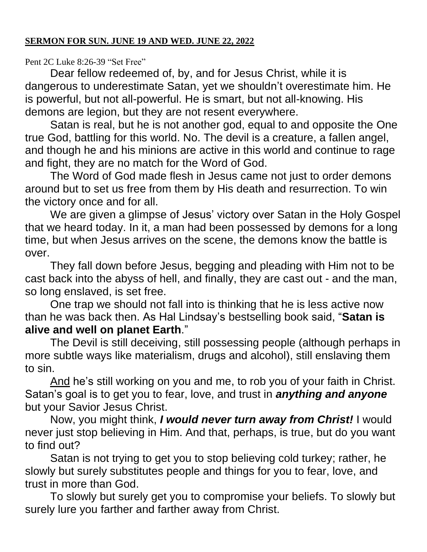Pent 2C Luke 8:26-39 "Set Free"

Dear fellow redeemed of, by, and for Jesus Christ, while it is dangerous to underestimate Satan, yet we shouldn't overestimate him. He is powerful, but not all-powerful. He is smart, but not all-knowing. His demons are legion, but they are not resent everywhere.

Satan is real, but he is not another god, equal to and opposite the One true God, battling for this world. No. The devil is a creature, a fallen angel, and though he and his minions are active in this world and continue to rage and fight, they are no match for the Word of God.

The Word of God made flesh in Jesus came not just to order demons around but to set us free from them by His death and resurrection. To win the victory once and for all.

We are given a glimpse of Jesus' victory over Satan in the Holy Gospel that we heard today. In it, a man had been possessed by demons for a long time, but when Jesus arrives on the scene, the demons know the battle is over.

They fall down before Jesus, begging and pleading with Him not to be cast back into the abyss of hell, and finally, they are cast out - and the man, so long enslaved, is set free.

One trap we should not fall into is thinking that he is less active now than he was back then. As Hal Lindsay's bestselling book said, "**Satan is alive and well on planet Earth**."

The Devil is still deceiving, still possessing people (although perhaps in more subtle ways like materialism, drugs and alcohol), still enslaving them to sin.

And he's still working on you and me, to rob you of your faith in Christ. Satan's goal is to get you to fear, love, and trust in *anything and anyone* but your Savior Jesus Christ.

Now, you might think, *I would never turn away from Christ!* I would never just stop believing in Him. And that, perhaps, is true, but do you want to find out?

Satan is not trying to get you to stop believing cold turkey; rather, he slowly but surely substitutes people and things for you to fear, love, and trust in more than God.

To slowly but surely get you to compromise your beliefs. To slowly but surely lure you farther and farther away from Christ.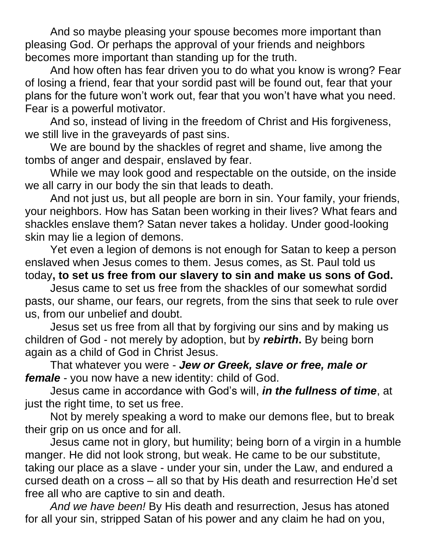And so maybe pleasing your spouse becomes more important than pleasing God. Or perhaps the approval of your friends and neighbors becomes more important than standing up for the truth.

And how often has fear driven you to do what you know is wrong? Fear of losing a friend, fear that your sordid past will be found out, fear that your plans for the future won't work out, fear that you won't have what you need. Fear is a powerful motivator.

And so, instead of living in the freedom of Christ and His forgiveness, we still live in the graveyards of past sins.

We are bound by the shackles of regret and shame, live among the tombs of anger and despair, enslaved by fear.

While we may look good and respectable on the outside, on the inside we all carry in our body the sin that leads to death.

And not just us, but all people are born in sin. Your family, your friends, your neighbors. How has Satan been working in their lives? What fears and shackles enslave them? Satan never takes a holiday. Under good-looking skin may lie a legion of demons.

Yet even a legion of demons is not enough for Satan to keep a person enslaved when Jesus comes to them. Jesus comes, as St. Paul told us today**, to set us free from our slavery to sin and make us sons of God.** 

Jesus came to set us free from the shackles of our somewhat sordid pasts, our shame, our fears, our regrets, from the sins that seek to rule over us, from our unbelief and doubt.

Jesus set us free from all that by forgiving our sins and by making us children of God - not merely by adoption, but by *rebirth***.** By being born again as a child of God in Christ Jesus.

That whatever you were - *Jew or Greek, slave or free, male or female* - you now have a new identity: child of God.

Jesus came in accordance with God's will, *in the fullness of time*, at just the right time, to set us free.

Not by merely speaking a word to make our demons flee, but to break their grip on us once and for all.

Jesus came not in glory, but humility; being born of a virgin in a humble manger. He did not look strong, but weak. He came to be our substitute, taking our place as a slave - under your sin, under the Law, and endured a cursed death on a cross – all so that by His death and resurrection He'd set free all who are captive to sin and death.

*And we have been!* By His death and resurrection, Jesus has atoned for all your sin, stripped Satan of his power and any claim he had on you,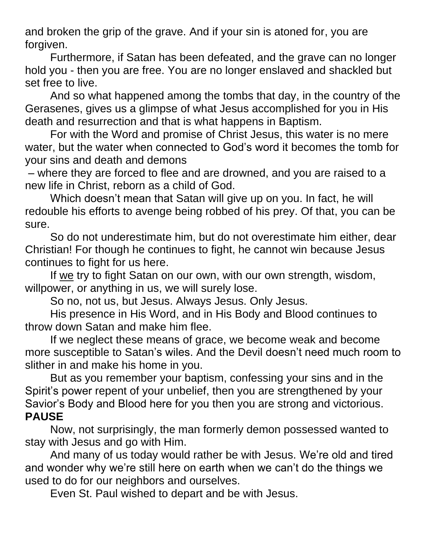and broken the grip of the grave. And if your sin is atoned for, you are forgiven.

Furthermore, if Satan has been defeated, and the grave can no longer hold you - then you are free. You are no longer enslaved and shackled but set free to live.

And so what happened among the tombs that day, in the country of the Gerasenes, gives us a glimpse of what Jesus accomplished for you in His death and resurrection and that is what happens in Baptism.

For with the Word and promise of Christ Jesus, this water is no mere water, but the water when connected to God's word it becomes the tomb for your sins and death and demons

– where they are forced to flee and are drowned, and you are raised to a new life in Christ, reborn as a child of God.

Which doesn't mean that Satan will give up on you. In fact, he will redouble his efforts to avenge being robbed of his prey. Of that, you can be sure.

So do not underestimate him, but do not overestimate him either, dear Christian! For though he continues to fight, he cannot win because Jesus continues to fight for us here.

If we try to fight Satan on our own, with our own strength, wisdom, willpower, or anything in us, we will surely lose.

So no, not us, but Jesus. Always Jesus. Only Jesus.

His presence in His Word, and in His Body and Blood continues to throw down Satan and make him flee.

If we neglect these means of grace, we become weak and become more susceptible to Satan's wiles. And the Devil doesn't need much room to slither in and make his home in you.

But as you remember your baptism, confessing your sins and in the Spirit's power repent of your unbelief, then you are strengthened by your Savior's Body and Blood here for you then you are strong and victorious. **PAUSE**

Now, not surprisingly, the man formerly demon possessed wanted to stay with Jesus and go with Him.

And many of us today would rather be with Jesus. We're old and tired and wonder why we're still here on earth when we can't do the things we used to do for our neighbors and ourselves.

Even St. Paul wished to depart and be with Jesus.